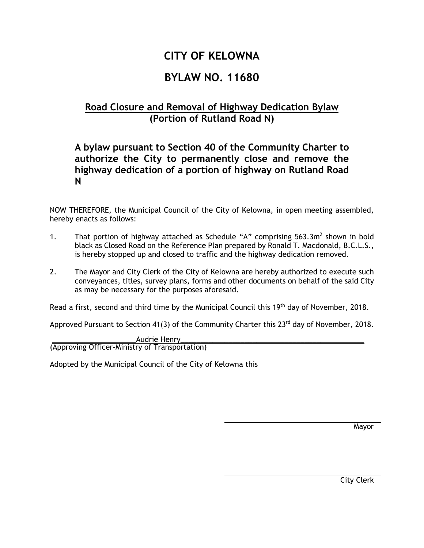## **CITY OF KELOWNA**

## **BYLAW NO. 11680**

## **Road Closure and Removal of Highway Dedication Bylaw (Portion of Rutland Road N)**

## **A bylaw pursuant to Section 40 of the Community Charter to authorize the City to permanently close and remove the highway dedication of a portion of highway on Rutland Road N**

NOW THEREFORE, the Municipal Council of the City of Kelowna, in open meeting assembled, hereby enacts as follows:

- 1. That portion of highway attached as Schedule "A" comprising  $563.3m^2$  shown in bold black as Closed Road on the Reference Plan prepared by Ronald T. Macdonald, B.C.L.S., is hereby stopped up and closed to traffic and the highway dedication removed.
- 2. The Mayor and City Clerk of the City of Kelowna are hereby authorized to execute such conveyances, titles, survey plans, forms and other documents on behalf of the said City as may be necessary for the purposes aforesaid.

Read a first, second and third time by the Municipal Council this 19<sup>th</sup> day of November, 2018.

Approved Pursuant to Section 41(3) of the Community Charter this  $23<sup>rd</sup>$  day of November, 2018.

\_\_\_\_\_\_\_\_\_\_\_\_\_\_\_\_\_\_\_\_\_Audrie Henry\_\_\_\_\_\_\_\_\_\_\_\_\_\_\_\_\_\_\_\_\_\_\_\_\_\_\_\_\_\_\_\_\_\_\_\_\_\_\_\_\_\_\_\_\_\_ (Approving Officer-Ministry of Transportation)

Adopted by the Municipal Council of the City of Kelowna this

Mayor

City Clerk